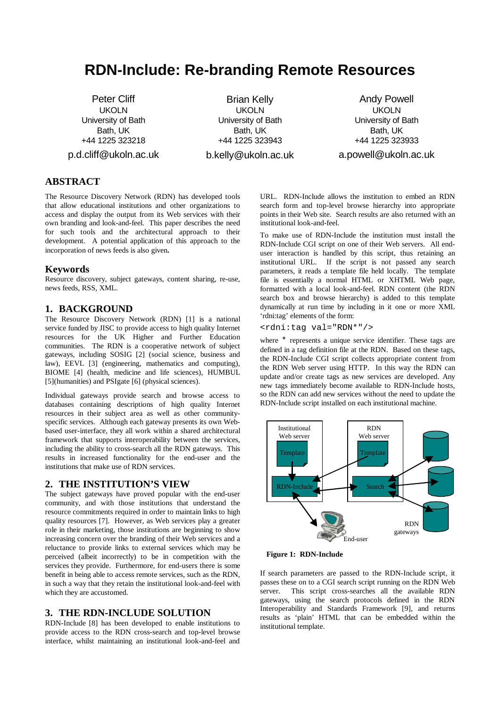# **RDN-Include: Re-branding Remote Resources**

Peter Cliff UKOLN University of Bath Bath, UK +44 1225 323218 p.d.cliff@ukoln.ac.uk

Brian Kelly UKOLN University of Bath Bath, UK +44 1225 323943 b.kelly@ukoln.ac.uk

Andy Powell UKOLN University of Bath Bath, UK +44 1225 323933 a.powell@ukoln.ac.uk

# **ABSTRACT**

The Resource Discovery Network (RDN) has developed tools that allow educational institutions and other organizations to access and display the output from its Web services with their own branding and look-and-feel. This paper describes the need for such tools and the architectural approach to their development. A potential application of this approach to the incorporation of news feeds is also given**.**

#### **Keywords**

Resource discovery, subject gateways, content sharing, re-use, news feeds, RSS, XML.

### **1. BACKGROUND**

The Resource Discovery Network (RDN) [1] is a national service funded by JISC to provide access to high quality Internet resources for the UK Higher and Further Education communities. The RDN is a cooperative network of subject gateways, including SOSIG [2] (social science, business and law), EEVL [3] (engineering, mathematics and computing), BIOME [4] (health, medicine and life sciences), HUMBUL [5](humanities) and PSIgate [6] (physical sciences).

Individual gateways provide search and browse access to databases containing descriptions of high quality Internet resources in their subject area as well as other communityspecific services. Although each gateway presents its own Webbased user-interface, they all work within a shared architectural framework that supports interoperability between the services, including the ability to cross-search all the RDN gateways. This results in increased functionality for the end-user and the institutions that make use of RDN services.

#### **2. THE INSTITUTION'S VIEW**

The subject gateways have proved popular with the end-user community, and with those institutions that understand the resource commitments required in order to maintain links to high quality resources [7]. However, as Web services play a greater role in their marketing, those institutions are beginning to show increasing concern over the branding of their Web services and a reluctance to provide links to external services which may be perceived (albeit incorrectly) to be in competition with the services they provide. Furthermore, for end-users there is some benefit in being able to access remote services, such as the RDN, in such a way that they retain the institutional look-and-feel with which they are accustomed.

### **3. THE RDN-INCLUDE SOLUTION**

RDN-Include [8] has been developed to enable institutions to provide access to the RDN cross-search and top-level browse interface, whilst maintaining an institutional look-and-feel and

URL. RDN-Include allows the institution to embed an RDN search form and top-level browse hierarchy into appropriate points in their Web site. Search results are also returned with an institutional look-and-feel.

To make use of RDN-Include the institution must install the RDN-Include CGI script on one of their Web servers. All enduser interaction is handled by this script, thus retaining an institutional URL. If the script is not passed any search parameters, it reads a template file held locally. The template file is essentially a normal HTML or XHTML Web page, formatted with a local look-and-feel. RDN content (the RDN search box and browse hierarchy) is added to this template dynamically at run time by including in it one or more XML 'rdni:tag' elements of the form:

<rdni:tag val="RDN\*"/>

where \* represents a unique service identifier. These tags are defined in a tag definition file at the RDN. Based on these tags, the RDN-Include CGI script collects appropriate content from the RDN Web server using HTTP. In this way the RDN can update and/or create tags as new services are developed. Any new tags immediately become available to RDN-Include hosts, so the RDN can add new services without the need to update the RDN-Include script installed on each institutional machine.



**Figure 1: RDN-Include**

If search parameters are passed to the RDN-Include script, it passes these on to a CGI search script running on the RDN Web server. This script cross-searches all the available RDN gateways, using the search protocols defined in the RDN Interoperability and Standards Framework [9], and returns results as 'plain' HTML that can be embedded within the institutional template.